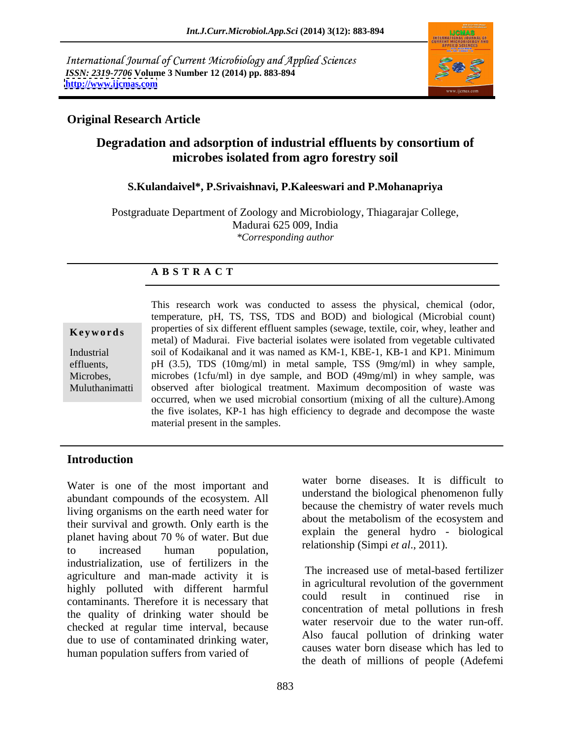International Journal of Current Microbiology and Applied Sciences *ISSN: 2319-7706* **Volume 3 Number 12 (2014) pp. 883-894 <http://www.ijcmas.com>**



### **Original Research Article**

### **Degradation and adsorption of industrial effluents by consortium of microbes isolated from agro forestry soil**

# **S.Kulandaivel\*, P.Srivaishnavi, P.Kaleeswari and P.Mohanapriya**

Postgraduate Department of Zoology and Microbiology, Thiagarajar College, Madurai 625 009, India *\*Corresponding author* 

### **A B S T R A C T**

**Keywords** properties of six different effluent samples (sewage, textile, coir, whey, leather and Industrial soil of Kodaikanal and it was named as KM-1, KBE-1, KB-1 and KP1. Minimum effluents, pH (3.5), TDS (10mg/ml) in metal sample, TSS (9mg/ml) in whey sample, Microbes, microbes (1cfu/ml) in dye sample, and BOD (49mg/ml) in whey sample, was Muluthanimatti observed after biological treatment. Maximum decomposition of waste was This research work was conducted to assess the physical, chemical (odor,<br>
temperature, pH, TS, TSS, TDS and BOD) and biological (Microbial count)<br>
properties of six different effluent samples (sewage, textile, coir, whey, metal) of Madurai. Five bacterial isolates were isolated from vegetable cultivated occurred, when we used microbial consortium (mixing of all the culture).Among the five isolates, KP-1 has high efficiency to degrade and decompose the waste material present in the samples.

### **Introduction**

Water is one of the most important and abundant compounds of the ecosystem. All living organisms on the earth need water for their survival and growth. Only earth is the planet having about 70 % of water. But due to increased human population,  $\frac{1}{2}$  relationship (Simplet at., 2011). industrialization, use of fertilizers in the agriculture and man-made activity it is highly polluted with different harmful in agricultural revolution of the government<br>could result in continued rise in contaminants. Therefore it is necessary that the quality of drinking water should be checked at regular time interval, because due to use of contaminated drinking water, human population suffers from varied of

water borne diseases. It is difficult to understand the biological phenomenon fully because the chemistry of water revels much about the metabolism of the ecosystem and explain the general hydro - biological relationship (Simpi *et al*., 2011).

The increased use of metal-based fertilizer in agricultural revolution of the government could result in continued rise in concentration of metal pollutions in fresh water reservoir due to the water run-off. Also faucal pollution of drinking water causes water born disease which has led to the death of millions of people (Adefemi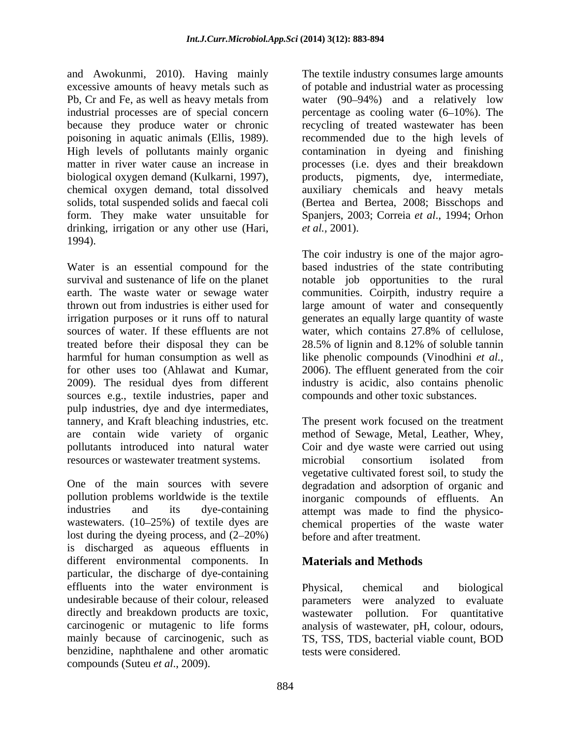excessive amounts of heavy metals such as biological oxygen demand (Kulkarni, 1997), chemical oxygen demand, total dissolved drinking, irrigation or any other use (Hari, et al., 2001). 1994).

sources of water. If these effluents are not water, which contains 27.8% of cellulose, sources e.g., textile industries, paper and pulp industries, dye and dye intermediates, resources or wastewater treatment systems. The microbial consortium isolated from

One of the main sources with severe degradation and adsorption of organic and pollution problems worldwide is the textile inorganic compounds of effluents. An industries and its dye-containing attempt was made to find the physico wastewaters. (10–25%) of textile dyes are chemical properties of the waste water lost during the dyeing process, and  $(2-20%)$ is discharged as aqueous effluents in different environmental components. In particular, the discharge of dye-containing effluents into the water environment is Physical, chemical and biological undesirable because of their colour, released directly and breakdown products are toxic, wastewater carcinogenic or mutagenic to life forms analysis of wastewater, pH, colour, odours, mainly because of carcinogenic, such as TS, TSS, TDS, bacterial viable count, BOD benzidine, naphthalene and other aromatic compounds (Suteu *et al*., 2009).

and Awokunmi, 2010). Having mainly The textile industry consumes large amounts Pb, Cr and Fe, as well as heavy metals from water (90–94%) and a relatively low industrial processes are of special concern percentage as cooling water (6–10%). The because they produce water or chronic recycling of treated wastewater has been poisoning in aquatic animals (Ellis, 1989). recommended due to the high levels of High levels of pollutants mainly organic contamination in dyeing and finishing matter in river water cause an increase in processes (i.e. dyes and their breakdown solids, total suspended solids and faecal coli (Bertea and Bertea, 2008; Bisschops and form. They make water unsuitable for Spanjers, 2003; Correia *et al*., 1994; Orhon of potable and industrial water as processing water  $(90-94\%)$  and a relatively low dye, intermediate, auxiliary chemicals and heavy metals *et al.,* 2001).

Water is an essential compound for the based industries of the state contributing survival and sustenance of life on the planet notable job opportunities to the rural earth. The waste water or sewage water communities. Coirpith, industry require a thrown out from industries is either used for large amount of water and consequently irrigation purposes or it runs off to natural generates an equally large quantity of waste treated before their disposal they can be 28.5% of lignin and 8.12% of soluble tannin harmful for human consumption as well as like phenolic compounds (Vinodhini *et al.,* for other uses too (Ahlawat and Kumar, 2006). The effluent generated from the coir 2009). The residual dyes from different industry is acidic, also contains phenolic The coir industry is one of the major agro water, which contains 27.8% of cellulose, compounds and other toxic substances.

tannery, and Kraft bleaching industries, etc. The present work focused on the treatment are contain wide variety of organic method of Sewage, Metal, Leather, Whey, pollutants introduced into natural water Coir and dye waste were carried out using microbial consortium isolated from vegetative cultivated forest soil, to study the before and after treatment.

### **Materials and Methods**

Physical, chemical and biological were analyzed to evaluate pollution. For quantitative analysis of wastewater, pH, colour, odours, TS, TSS, TDS, bacterial viable count, BOD tests were considered.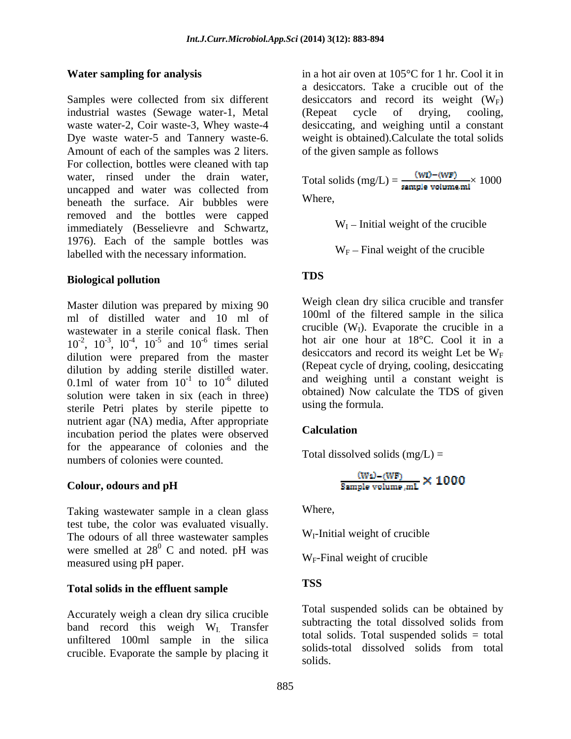Samples were collected from six different desiccators and record its weight  $(W_F)$ industrial wastes (Sewage water-1, Metal waste water-2, Coir waste-3, Whey waste-4 desiccating, and weighing until a constant Dye waste water-5 and Tannery waste-6. Amount of each of the samples was 2 liters. For collection, bottles were cleaned with tap water, rinsed under the drain water, uncapped and water was collected from  $\mathbb{R}^n$ beneath the surface. Air bubbles were removed and the bottles were capped immediately (Besselievre and Schwartz, 1976). Each of the sample bottles was labelled with the necessary information.

### **Biological pollution**

Master dilution was prepared by mixing 90 ml of distilled water and 10 ml of wastewater in a sterile conical flask. Then  $10^{-2}$ ,  $10^{-3}$ ,  $10^{-4}$ ,  $10^{-5}$  and  $10^{-6}$  times serial hot air one hour at  $18^{\circ}$ C. Cool it in a dilution were prepared from the master dilution by adding sterile distilled water.<br>0.1ml of water from  $10^{-1}$  to  $10^{-6}$  diluted 0.1ml of water from  $10^{-1}$  to  $10^{-6}$  diluted and weighing until a constant weight is solution were taken in six (each in three) sterile Petri plates by sterile pipette to nutrient agar (NA) media, After appropriate<br>inquisition period the plates were observed **Calculation** incubation period the plates were observed for the appearance of colonies and the numbers of colonies were counted.

Taking wastewater sample in a clean glass Where, test tube, the color was evaluated visually. The odours of all three wastewater samples were smelled at  $28^{\circ}$  C and noted, pH was  $^{0}$  C and noted. pH was  $_{\text{W}}$  F; 1 i 1 i 6 i 11 measured using pH paper.

## **Total solids in the effluent sample**

Accurately weigh a clean dry silica crucible band record this weigh  $W_I$  Transfer unfiltered 100ml sample in the silica  $\frac{1}{2}$  total solids-total dissolved solids from total crucible. Evaporate the sample by placing it

**Water sampling for analysis** in a hot air oven at 105°C for 1 hr. Cool it in a desiccators. Take a crucible out of the (Repeat cycle of drying, cooling, weight is obtained).Calculate the total solids of the given sample as follows

Total solids (mg/L) = 
$$
\frac{\text{(WI)} - \text{(WF)}}{\text{sample volume, ml}} \times 1000
$$
Where,

 $W_I$  – Initial weight of the crucible

 $W_F$  – Final weight of the crucible

### **TDS**

 $-3$ ,  $10^{-4}$ ,  $10^{-5}$  and  $10^{-6}$  times serial hot air one hour at  $18^{\circ}$ C. Cool it in a and  $10^{-6}$  times serial that all one nour at 18 c. Cool it in a  $\frac{1}{1}$  to  $10^{-6}$  diluted and weighing until a constant weight is Weigh clean dry silica crucible and transfer 100ml of the filtered sample in the silica crucible  $(W<sub>I</sub>)$ . Evaporate the crucible in a desiccators and record its weight Let be  $W_F$ (Repeat cycle of drying, cooling, desiccating obtained) Now calculate the TDS of given using the formula.

### **Calculation**

Total dissolved solids  $(mg/L) =$ 

**Colour, odours and pH**

Where,

W<sub>I</sub>-Initial weight of crucible

WF-Final weight of crucible

### **TSS**

Total suspended solids can be obtained by subtracting the total dissolved solids from total solids. Total suspended solids = total solids-total dissolved solids from total solids.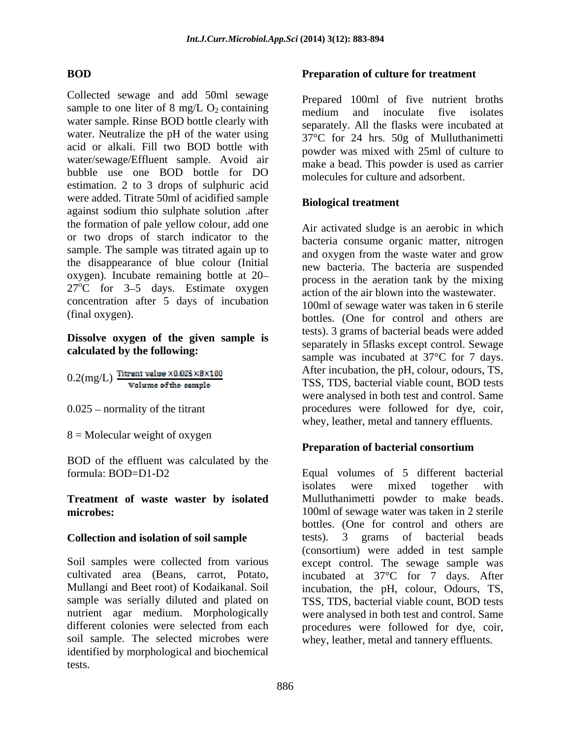Collected sewage and add 50ml sewage sample to one liter of  $8 \text{ mg/L O}_2$  containing<br>medium and inoculate five isolates water sample. Rinse BOD bottle clearly with water. Neutralize the pH of the water using acid or alkali. Fill two BOD bottle with water/sewage/Effluent sample. Avoid air bubble use one BOD bottle for DO estimation. 2 to 3 drops of sulphuric acid were added. Titrate 50ml of acidified sample against sodium thio sulphate solution .after the formation of pale yellow colour, add one or two drops of starch indicator to the sample. The sample was titrated again up to the disappearance of blue colour (Initial oxygen). Incubate remaining bottle at 20  $27^{\circ}$ C for 3–5 days. Estimate oxygen concentration after 5 days of incubation

## **Dissolve oxygen of the given sample is**

 $8 =$  Molecular weight of oxygen

BOD of the effluent was calculated by the

**Treatment of waste waster by isolated**

Soil samples were collected from various except control. The sewage sample was cultivated area (Beans, carrot, Potato, incubated at 37°C for 7 days. After Mullangi and Beet root) of Kodaikanal. Soil incubation, the pH, colour, Odours, TS, sample was serially diluted and plated on TSS, TDS, bacterial viable count, BOD tests nutrient agar medium. Morphologically were analysed in both test and control. Same different colonies were selected from each procedures were followed for dye, coir, soil sample. The selected microbes were whey, leather, metal and tannery effluents. identified by morphological and biochemical tests.

### **BOD Preparation of culture for treatment**

Prepared 100ml of five nutrient broths medium and inoculate five isolates separately. All the flasks were incubated at 37°C for 24 hrs. 50g of Mulluthanimetti powder was mixed with 25ml of culture to make a bead. This powder is used as carrier molecules for culture and adsorbent.

### **Biological treatment**

(final oxygen). bottles. (One for control and others are **calculated by the following:**<br>
sample was incubated at 37°C for 7 days.  $(0.2(mg/L))$   $\frac{100 \text{ m/s}}{\text{Volume of the sample}}$ <br>  $(0.025 - \text{normality of the titrant})$ <br>  $(0.025 - \text{normality of the titrant})$ <br>  $(0.025 - \text{normality of the titrant})$ <br>  $(0.025 - \text{normality of the titrant})$ <br>  $(0.025 - \text{normality of the titrant})$ <br>  $(0.025 - \text{normality of the titrant})$ <br>  $(0.025 - \text{normality of the titrant})$ <br>  $(0.025 - \text{normality of the titrant})$ <br>  $(0.025 - \text{normality of the titrant})$ Air activated sludge is an aerobic in which bacteria consume organic matter, nitrogen and oxygen from the waste water and grow new bacteria. The bacteria are suspended process in the aeration tank by the mixing action of the air blown into the wastewater. 100ml of sewage water was taken in 6 sterile tests). 3 grams of bacterial beads were added separately in 5flasks except control. Sewage After incubation, the pH, colour, odours, TS, TSS, TDS, bacterial viable count, BOD tests were analysed in both test and control. Same procedures were followed for dye, coir, whey, leather, metal and tannery effluents.

### **Preparation of bacterial consortium**

formula: BOD=D1-D2 Equal volumes of 5 different bacterial **microbes:** 100ml of sewage water was taken in 2 sterile **Collection and isolation of soil sample** tests). 3 grams of bacterial beads isolates were mixed together with Mulluthanimetti powder to make beads. bottles. (One for control and others are tests). 3 grams of bacterial beads (consortium) were added in test sample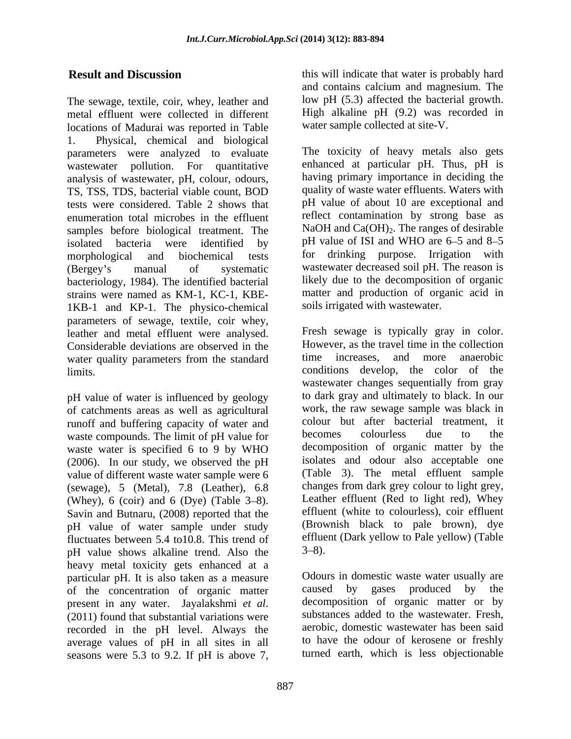The sewage, textile, coir, whey, leather and metal effluent were collected in different locations of Madurai was reported in Table 1. Physical, chemical and biological parameters were analyzed to evaluate wastewater pollution. For quantitative analysis of wastewater, pH, colour, odours, analysis of wastewater, pH, colour, odours, having primary importance in deciding the<br>TS, TSS, TDS, bacterial viable count, BOD quality of waste water effluents. Waters with tests were considered. Table 2 shows that enumeration total microbes in the effluent samples before biological treatment. The isolated bacteria were identified by pH value of ISI and WHO are  $6-5$  and  $8-5$ morphological and biochemical tests for drinking purpose. Irrigation with (Bergey s manual of systematic wastewater decreased soil pH. The reason is bacteriology, 1984). The identified bacterial strains were named as KM-1, KC-1, KBE- 1KB-1 and KP-1. The physico-chemical parameters of sewage, textile, coir whey, leather and metal effluent were analysed. Considerable deviations are observed in the However, as the travel time in the collection<br>water quality parameters from the standard time increases and more anaerobic water quality parameters from the standard

pH value of water is influenced by geology of catchments areas as well as agricultural runoff and buffering capacity of water and colour but after bacterial t<br>waste compounds The limit of pH value for becomes colourless due waste compounds. The limit of pH value for becomes colourless due to the waste water is specified 6 to 9 by WHO (2006). In our study, we observed the pH value of different waste water sample were 6 (sewage), 5 (Metal), 7.8 (Leather), 6.8 (Whey),  $6$  (coir) and  $6$  (Dye) (Table 3–8). Savin and Butnaru, (2008) reported that the pH value of water sample under study fluctuates between 5.4 to 10.8. This trend of efflue<br>nH value shows alkaline trend Also the  $3-8$ ). pH value shows alkaline trend. Also the heavy metal toxicity gets enhanced at a particular pH. It is also taken as a measure<br>of the concentration of organic matter caused by gases produced by the of the concentration of organic matter recorded in the pH level. Always the aerobic, domestic wastewater has been said average values of pH in all sites in all seasons were 5.3 to 9.2. If pH is above 7,

**Result and Discussion** this will indicate that water is probably hard and contains calcium and magnesium. The low pH (5.3) affected the bacterial growth. High alkaline pH (9.2) was recorded in water sample collected at site-V.

> The toxicity of heavy metals also gets enhanced at particular pH. Thus, pH is having primary importance in deciding the quality of waste water effluents. Waters with pH value of about 10 are exceptional and reflect contamination by strong base as NaOH and  $Ca(OH)_{2}$ . The ranges of desirable likely due to the decomposition of organic matter and production of organic acid in soils irrigated with wastewater.

limits. conditions develop, the color of the Fresh sewage is typically gray in color. However, as the travel time in the collection time increases, and more anaerobic wastewater changes sequentially from gray to dark gray and ultimately to black. In our work, the raw sewage sample was black in colour but after bacterial treatment, it becomes colourless due to the decomposition of organic matter by the isolates and odour also acceptable one (Table 3). The metal effluent sample changes from dark grey colour to light grey, Leather effluent (Red to light red), Whey effluent (white to colourless), coir effluent (Brownish black to pale brown), dye effluent (Dark yellow to Pale yellow) (Table  $3-8$ ).

present in any water. Jayalakshmi *et al*. decomposition of organic matter or by<br>(2011) found that substantial variations were substances added to the wastewater. Fresh, Odours in domestic waste water usually are caused by gases produced decomposition of organic matter or by<br>substances added to the wastewater. Fresh, substances added to the wastewater. Fresh, aerobic, domestic wastewater has been said to have the odour of kerosene or freshly turned earth, which is less objectionable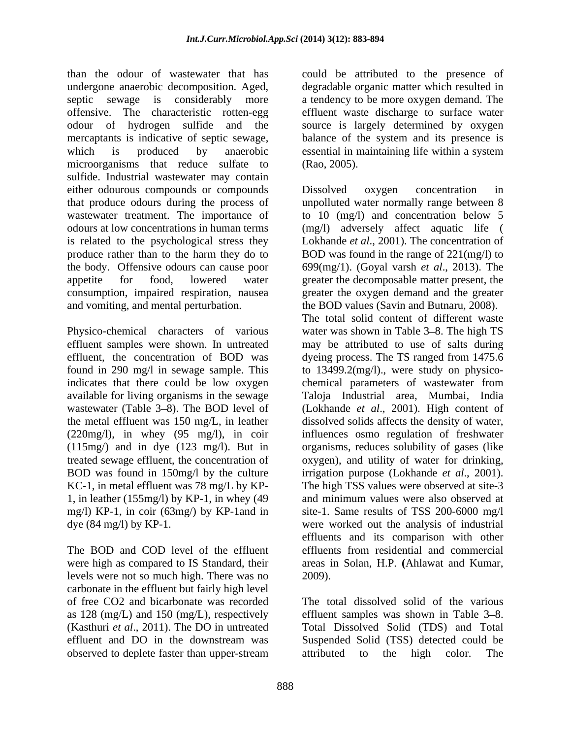than the odour of wastewater that has could be attributed to the presence of undergone anaerobic decomposition. Aged, septic sewage is considerably more a tendency to be more oxygen demand. The offensive. The characteristic rotten-egg effluent waste discharge to surface water odour of hydrogen sulfide and the source is largely determined by oxygen mercaptants is indicative of septic sewage, which is produced by anaerobic essential in maintaining life within a system microorganisms that reduce sulfate to (Rao, 2005). sulfide. Industrial wastewater may contain either odourous compounds or compounds bissolved oxygen concentration in is related to the psychological stress they produce rather than to the harm they do to

indicates that there could be low oxygen (220mg/l), in whey (95 mg/l), in coir BOD was found in 150mg/l by the culture irrigation purpose (Lokhande *et al.*, 2001). KC-1, in metal effluent was 78 mg/L by KP-<br>The high TSS values were observed at site-3 1, in leather (155mg/l) by KP-1, in whey (49 mg/l) KP-1, in coir (63mg/) by KP-1and in

levels were not so much high. There was no carbonate in the effluent but fairly high level of free CO2 and bicarbonate was recorded observed to deplete faster than upper-stream attributed to the high color. The

degradable organic matter which resulted in balance of the system and its presence is (Rao, 2005).

that produce odours during the process of unpolluted water normally range between 8 wastewater treatment. The importance of to 10 (mg/l) and concentration below 5 odours at low concentrations in human terms (mg/l) adversely affect aquatic life ( the body. Offensive odours can cause poor 699(mg/1). (Goyal varsh *et al*., 2013). The appetite for food, lowered water greater the decomposable matter present, the consumption, impaired respiration, nausea greater the oxygen demand and the greater and vomiting, and mental perturbation. the BOD values (Savin and Butnaru, 2008). Physico-chemical characters of various water was shown in Table 3–8. The high TS effluent samples were shown. In untreated may be attributed to use of salts during effluent, the concentration of BOD was dyeing process. The TS ranged from 1475.6 found in 290 mg/l in sewage sample. This to 13499.2(mg/l)., were study on physico available for living organisms in the sewage Taloja Industrial area, Mumbai, India wastewater (Table 3–8). The BOD level of (Lokhande *et al.*, 2001). High content of the metal effluent was 150 mg/L, in leather dissolved solids affects the density of water, (115mg/) and in dye (123 mg/l). But in organisms, reduces solubility of gases (like treated sewage effluent, the concentration of oxygen), and utility of water for drinking, dye (84 mg/l) by KP-1. were worked out the analysis of industrial The BOD and COD level of the effluent effluents from residential and commercial were high as compared to IS Standard, their areas in Solan, H.P. **(**Ahlawat and Kumar, Dissolved oxygen concentration in Lokhande *et al*., 2001). The concentration of BOD was found in the range of 221(mg/l) to The total solid content of different waste chemical parameters of wastewater from influences osmo regulation of freshwater irrigation purpose (Lokhande *et al.*, 2001).<br>The high TSS values were observed at site-3 and minimum values were also observed at site-1. Same results of TSS 200-6000 mg/l effluents and its comparison with other 2009).

as 128 (mg/L) and 150 (mg/L), respectively effluent samples was shown in Table 3–8. (Kasthuri *et al*., 2011). The DO in untreated Total Dissolved Solid (TDS) and Total effluent and DO in the downstream was Suspended Solid (TSS) detected could be The total dissolved solid of the various attributed to the high color. The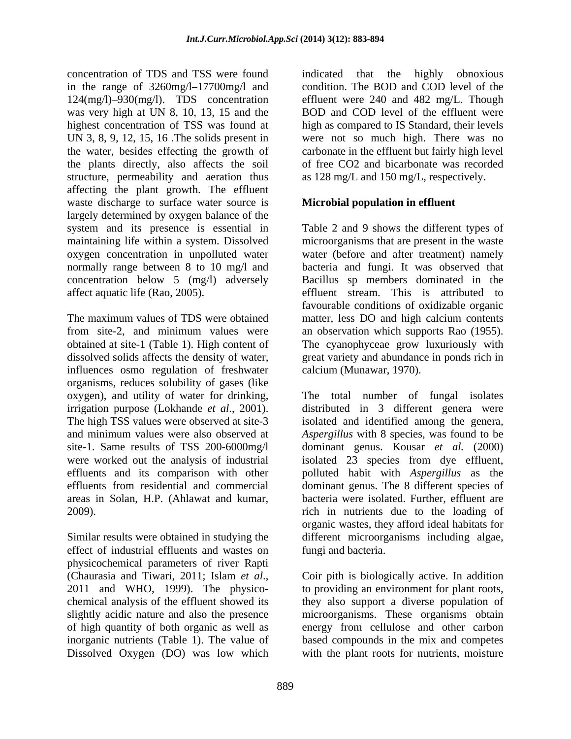concentration of TDS and TSS were found in the range of 3260mg/l–17700mg/l and condition. The BOD and COD level of the 124(mg/l) 930(mg/l). TDS concentration effluent were 240 and 482 mg/L. Though was very high at UN 8, 10, 13, 15 and the BOD and COD level of the effluent were highest concentration of TSS was found at high as compared to IS Standard, their levels UN 3, 8, 9, 12, 15, 16 .The solids present in were not so much high. There was no the water, besides effecting the growth of carbonate in the effluent but fairly high level the plants directly, also affects the soil structure, permeability and aeration thus affecting the plant growth. The effluent waste discharge to surface water source is largely determined by oxygen balance of the normally range between 8 to 10 mg/l and

influences osmo regulation of freshwater organisms, reduces solubility of gases (like and minimum values were also observed at Aspergillus with 8 species, was found to be

effect of industrial effluents and wastes on physicochemical parameters of river Rapti Dissolved Oxygen (DO) was low which indicated that the highly obnoxious of free CO2 and bicarbonate was recorded as 128 mg/L and 150 mg/L, respectively.

### **Microbial population in effluent**

system and its presence is essential in Table 2 and 9 shows the different types of maintaining life within a system. Dissolved microorganisms that are present in the waste oxygen concentration in unpolluted water water (before and after treatment) namely concentration below 5 (mg/l) adversely Bacillus sp members dominated in the affect aquatic life (Rao, 2005). effluent stream. This is attributed to The maximum values of TDS were obtained matter, less DO and high calcium contents from site-2, and minimum values were an observation which supports Rao (1955). obtained at site-1 (Table 1). High content of The cyanophyceae grow luxuriously with dissolved solids affects the density of water, great variety and abundance in ponds rich in bacteria and fungi. It was observed that favourable conditions of oxidizable organic calcium (Munawar, 1970).

oxygen), and utility of water for drinking, The total number of fungal isolates irrigation purpose (Lokhande *et al.*, 2001). distributed in 3 different genera were<br>The high TSS values were observed at site-3 isolated and identified among the genera, site-1. Same results of TSS 200-6000mg/l dominant genus. Kousar *et al.* (2000) were worked out the analysis of industrial isolated 23 species from dye effluent, effluents and its comparison with other polluted habit with *Aspergillus* as the effluents from residential and commercial dominant genus. The 8 different species of areas in Solan, H.P. (Ahlawat and kumar, bacteria were isolated. Further, effluent are 2009). rich in nutrients due to the loading of Similar results were obtained in studying the different microorganisms including algae, distributed in 3 different genera were isolated and identified among the genera*, Aspergillus* with <sup>8</sup> species, was found to be organic wastes, they afford ideal habitats for fungi and bacteria.

(Chaurasia and Tiwari, 2011; Islam *et al.*, <br>2011 and WHO, 1999). The physico- to providing an environment for plant roots, chemical analysis of the effluent showed its they also support a diverse population of slightly acidic nature and also the presence microorganisms. These organisms obtain of high quantity of both organic as well as energy from cellulose and other carbon inorganic nutrients (Table 1). The value of based compounds in the mix and competes Coir pith is biologically active. In addition to providing an environment for plant roots, with the plant roots for nutrients, moisture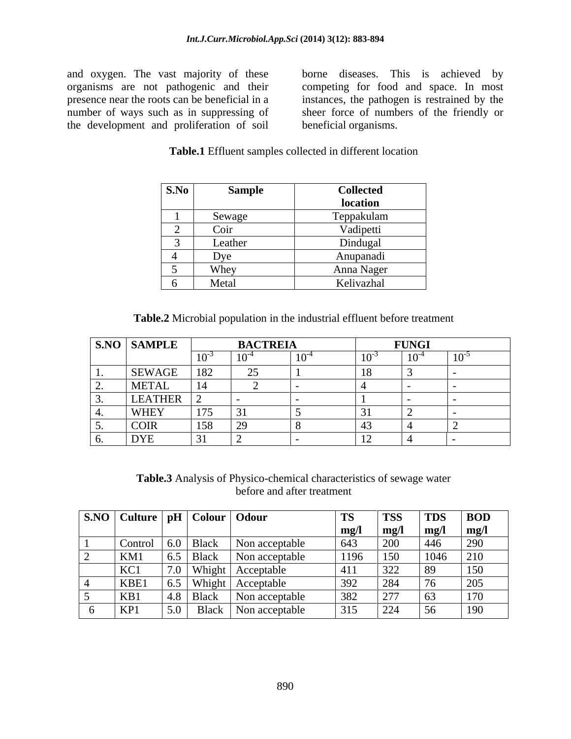and oxygen. The vast majority of these organisms are not pathogenic and their the development and proliferation of soil

organisms are not pathogenic and their competing for food and space. In most presence near the roots can be beneficial in a instances, the pathogen is restrained by the number of ways such as in suppressing of sheer force of numbers of the friendly or borne diseases. This is achieved by beneficial organisms.

**Table.1** Effluent samples collected in different location

| S.No | <b>Sample</b> | <b>Collected</b><br><b>location</b> |
|------|---------------|-------------------------------------|
|      |               |                                     |
|      | Sewage        | Teppakulam                          |
|      | Coir          | Vadipetti                           |
|      | Leather       | Dindugal                            |
|      |               | Anupanadi                           |
|      | Whey          | Anna Nager                          |
|      | Metal         | Kelivazhal                          |

**Table.2** Microbial population in the industrial effluent before treatment

|            | $\vert$ S.NO $\vert$ SAMPLE |                 | <b>BACTREIA</b>                              |                    |        | <b>FUNGI</b> |             |
|------------|-----------------------------|-----------------|----------------------------------------------|--------------------|--------|--------------|-------------|
|            |                             | 10              | ιv                                           | $1^{\prime}$<br>ΙV | $\sim$ | 1 V          | 1 ∩∹<br>* ∿ |
|            | <b>SEWAGE</b>               | 182             | $\cap$ $\subset$<br>$\overline{\phantom{a}}$ |                    |        |              |             |
| <u>L</u> . | <b>METAL</b>                | 14              |                                              |                    |        |              |             |
|            | LEATHER                     |                 |                                              |                    |        |              |             |
|            | <b>WHEY</b>                 | 17 <sup>5</sup> |                                              |                    |        |              |             |
|            | <b>COIR</b>                 | 158             |                                              |                    |        |              |             |
|            | DYE                         | $\sim$ $\sim$   |                                              |                    |        |              |             |

**Table.3** Analysis of Physico-chemical characteristics of sewage water before and after treatment

|        |                  | S.NO   Culture   pH   Colour   Odour |                        | 15   | <b>TSS</b>      | <b>TDS</b>              | <b>BOD</b>         |
|--------|------------------|--------------------------------------|------------------------|------|-----------------|-------------------------|--------------------|
|        |                  |                                      |                        |      | $m\mathbf{g}/r$ | $\mathbf{m}$ <i>g</i> / | $\mid$ mg/         |
| Contro |                  | <b>Black</b>                         | Non acceptable         | 643  | 200             | 446                     | 290                |
| KM1    |                  | Black                                | Non acceptable         | 1196 | 150             | 1 U TU                  | 210<br>$\angle 10$ |
| KC1    | 7.0 <sub>1</sub> | Whight                               | Acceptable             | 411  | 322             | 89                      | 150                |
| KBE1   | $\cup$ . $\cup$  | Whight                               | Acceptable             | 392  | 284             |                         | 205                |
| KB1    |                  | $4.8$ Black                          | Non acceptable         | 382  | 277             | $\overline{63}$         | 17C<br>1/0         |
| KP1    | 5.0              |                                      | Black   Non acceptable | 315  | 224             | 56                      | 190                |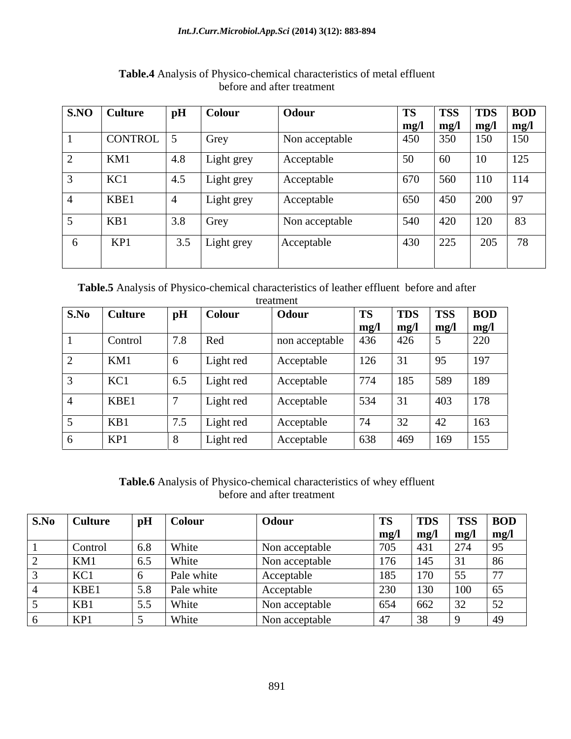| S.NO Culture              | pH  | Colour     | Odour          | <b>TS</b> | <b>TSS</b>         | <b>TDS</b>  | $\vert$ BOD             |
|---------------------------|-----|------------|----------------|-----------|--------------------|-------------|-------------------------|
|                           |     |            |                | mg/l      | $\log$             | $\mid$ mg/l | $\log$                  |
| $\vert$ CONTROL $\vert$ 5 |     | Grey       | Non acceptable | 450       | 350                | 150         | $\sim$                  |
| KM1                       | 4.8 | Light grey | Acceptable     | 50        | $\Omega$<br>$\cup$ | 10          | 125                     |
| KC1                       | 4.5 | Light grey | Acceptable     | 670       | 560                | 110         | 114                     |
| KBE1                      |     | Light grey | Acceptable     | 650       | 450                | 200         | $\boxed{97}$            |
| KB1                       | 3.8 | Grey       | Non acceptable | 540       | 420                | 120         | 83                      |
| KP1                       | 3.5 | Light grey | Acceptable     | 430       | 225                | 205         | $\sqrt{2}$<br>$10^{-1}$ |

**Table.4** Analysis of Physico-chemical characteristics of metal effluent before and after treatment

**Table.5** Analysis of Physico-chemical characteristics of leather effluent before and after

|      |         |                              |               | treatment      |           |                   |             |               |
|------|---------|------------------------------|---------------|----------------|-----------|-------------------|-------------|---------------|
| S.No | Culture | pH                           | <b>Colour</b> | <b>Odour</b>   | <b>TS</b> | $\overline{TDS}$  | <b>TSS</b>  | $\vert$ BOD   |
|      |         |                              |               |                | mg/       | $\mid$ mg/l       | $\mid$ mg/l | $\mid$ mg/l   |
|      | Control | $\sqrt{2}$ $\sqrt{2}$<br>1.8 | Red           | non acceptable | 436       | $\vert 426 \vert$ |             | 220           |
|      | KM1     | ്റ                           | Light red     | Acceptable     | 126       | <u>UJI</u>        | 195         | 107<br>$\sim$ |
|      | KCl     | 6.5                          | Light red     | Acceptable     | 774       | 185               | 589         | 189           |
|      | KBE1    |                              | Light red     | Acceptable     | 534       | $\vert 31 \vert$  | 403         | 178           |
|      | KB1     | $\vert 7.5 \vert$            | Light red     | Acceptable     | 74        | 32                | $\Lambda$   | 163           |
|      | KP1     |                              | Light red     | Acceptable     | 638       | 469               | 169         | 155           |

### **Table.6** Analysis of Physico-chemical characteristics of whey effluent before and after treatment

| S.No | Culture | pH                | Colour     | Odour          | TS                     | <b>TDS</b>               | <b>TSS</b>        | <b>BOD</b> |
|------|---------|-------------------|------------|----------------|------------------------|--------------------------|-------------------|------------|
|      |         |                   |            |                | mg/                    | $m\Omega$                | mg/               | mg/        |
|      | Control | $\vert 6.8 \vert$ | White      | Non acceptable | $\Box \cap \Box$       | 431                      | 274               |            |
|      | KM1     | $\vert 6.5 \vert$ | White      | Non acceptable | 17 <sub>C</sub><br>1/0 | $\sim$ $\sim$<br>$1 + J$ | $\sqrt{21}$<br>31 |            |
|      | KC1     |                   | Pale white | Acceptable     | 185                    | $\sqrt{2}$               | 55                | --         |
|      | KBE1    | 5.8               | Pale white | Acceptable     | 230                    | 130                      | 100               | --<br>65   |
|      | KB1     | 55<br>ن ک         | White      | Non acceptable | 654                    | 662<br>UUZ               | 32                | - -        |
|      | KPI     |                   | White      | Non acceptable |                        | $\sim$<br>JU.            |                   |            |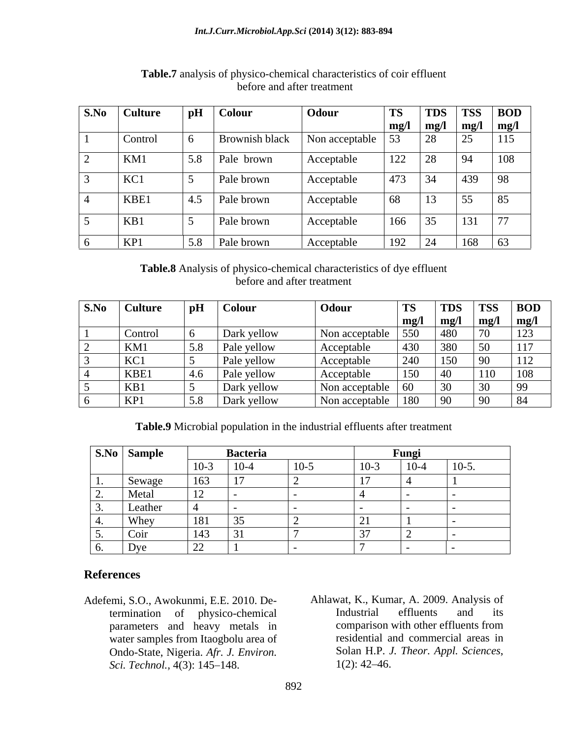| S.No Culture | $\vert \text{pH} \vert$ Colour | Odour             | <b>TS</b>   | <b>TDS</b>       | <b>TSS</b>                     | <b>BOD</b> |
|--------------|--------------------------------|-------------------|-------------|------------------|--------------------------------|------------|
|              |                                |                   | $\mid$ mg/l | $\mid$ mg/l      | mg/l                           | mg/l       |
| Control      | <b>Brownish black</b>          | Non acceptable 53 |             | 28               | $\sim$ $\sim$<br>$\mathcal{L}$ | 115        |
| KM1          | $\vert$ 5.8 $\vert$ Pale brown | Acceptable        | 122         | 28               | 94                             | 108        |
| KC1          | Pale brown                     | Acceptable        | 473         | $\vert$ 34       | 439                            | 98         |
| KBE1         | $\vert 4.5 \vert$ Pale brown   | Acceptable        | 68          | 13               | 55                             | 85         |
| KB1          | Pale brown                     | Acceptable        | 166         | $\vert 35 \vert$ | 131                            | $\vert$ 77 |
| KPI          | 5.8 Pale brown                 | Acceptable        | 192         | 24               | 168                            | 63         |

### **Table.7** analysis of physico-chemical characteristics of coir effluent before and after treatment

### **Table.8** Analysis of physico-chemical characteristics of dye effluent before and after treatment

| $\vert$ S.No | Culture | pH  | Colour             | Odour                  | TS         | <b>TDS</b>  | $\overline{\phantom{a}}$ TSS | <b>BOD</b>               |
|--------------|---------|-----|--------------------|------------------------|------------|-------------|------------------------------|--------------------------|
|              |         |     |                    |                        | mg/l       | $\mid$ mg/l | mg/l                         | mg/                      |
|              | Control |     | Dark yellow        | Non acceptable         | 550        | 480         |                              | 12 <sub>2</sub><br>1 A J |
|              | KM1     | 5.8 | Pale yellow        | Acceptable             | 430        | 380         | JV.                          | 117                      |
|              | KC1     |     | <b>Pale yellow</b> | Acceptable             | 240        | 150         | ノマ                           | 112                      |
|              | KBE1    | 4.6 | Pale yellow        | Acceptable             | 150        |             | 110                          | 108                      |
|              | KB1     |     | Dark yellow        | Non acceptable         | $\vert$ 60 |             |                              | 99                       |
|              | KP1     | 0.0 | Dark yellow        | Non acceptable   $180$ |            |             | $\overline{\mathcal{L}}$     | 84                       |

**Table.9** Microbial population in the industrial effluents after treatment

|            | S.No Sample<br><b>Bacteria</b> |          |          |        | Fungi  |          |         |  |  |
|------------|--------------------------------|----------|----------|--------|--------|----------|---------|--|--|
|            |                                | $10-3$   | $10 - 4$ | $10-5$ | $10-3$ | $10 - 4$ | $10-5.$ |  |  |
| l 1.       | Sewage                         | 163      |          |        |        |          |         |  |  |
| . <u>.</u> | Metal                          | 12       |          |        |        |          |         |  |  |
| J.         | Leather                        |          |          |        |        |          |         |  |  |
|            | Whey                           | 181      | ັບ       |        |        |          |         |  |  |
| $\cup$ .   | Coir                           | 143      |          |        | $\sim$ |          |         |  |  |
| $\vert 6.$ | Dye                            | 22<br>44 |          |        |        |          |         |  |  |

### **References**

- Adefemi, S.O., Awokunmi, E.E. 2010. Deparameters and heavy metals in water samples from Itaogbolu area of *Sci. Technol., 4(3): 145-148.*
- termination of physico-chemical Ondo-State, Nigeria. *Afr. J. Environ.* Solan H.P. *J. Theor. Appl. Sciences, Sci. Technol.*, 4(3): 145–148.  $1(2): 42-46$ . Ahlawat, K., Kumar, A. 2009. Analysis of Industrial effluents and its comparison with other effluents from residential and commercial areas in Solan H.P. *J. Theor. Appl. Sciences*, 1(2): 42 46.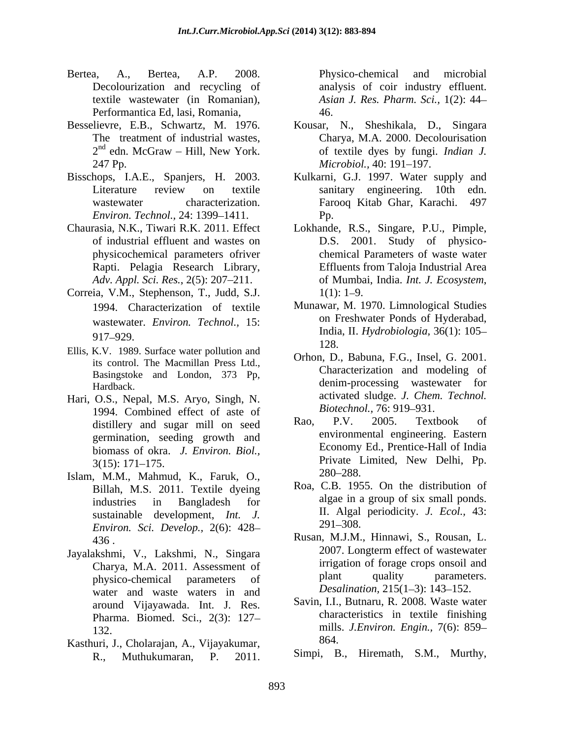- Bertea, A., Bertea, A.P. 2008. Physico-chemical and microbial Decolourization and recycling of analysis of coir industry effluent. textile wastewater (in Romanian), *Asian J. Res. Pharm. Sci.,* 1(2): 44 Performantica Ed, lasi, Romania,
- $2<sup>nd</sup>$  edn. McGraw Hill, New York. 247 Pp. Microbiol., 40: 191–197.
- Bisschops, I.A.E., Spanjers, H. 2003. Kulkarni, G.J. 1997. Water supply and *Environ. Technol., 24: 1399–1411.* Pp.
- Chaurasia, N.K., Tiwari R.K. 2011.Effect Lokhande, R.S., Singare, P.U., Pimple, physicochemical parameters ofriver
- Correia, V.M., Stephenson, T., Judd, S.J. 1994. Characterization of textile wastewater. *Environ. Technol.,* 15:
- Ellis, K.V. 1989. Surface water pollution and  $\begin{bmatrix} 128. \\ 21. \end{bmatrix}$ its control. The Macmillan Press Ltd., Basingstoke and London, 373 Pp,
- Hari, O.S., Nepal, M.S. Aryo, Singh, N. activated sludge. *J. Chen*<br>1004. Combined effect of esta of *Biotechnol*. 76: 919–931. 1994. Combined effect of aste of *Biotechnol.*, (6:919–931.<br>distillary and success mill on sood Rao. P.V. 2005. Textbook of distillery and sugar mill on seed germination, seeding growth and
- Islam, M.M., Mahmud, K., Faruk, O., Billah, M.S. 2011. Textile dyeing sustainable development, *Int. J.* II. Algal<br>Enviror Sci Davelop 2(6): 428 291–308. *Environ. Sci. Develop.,* 2(6): 428
- water and waste waters in and around Vijayawada. Int. J. Res. Pharma. Biomed. Sci., 2(3): 127
- Kasthuri, J., Cholarajan, A., Vijayakumar, R., Muthukumaran, P. 2011. Simpi, B., Hiremath, S.M., Murthy,

46.

- Besselievre, E.B., Schwartz, M. 1976. Kousar, N., Sheshikala, D., Singara The treatment of industrial wastes, Charya, M.A. 2000. Decolourisation 2<sup>nd</sup> edn. McGraw – Hill, New York. <br>
of textile dyes by fungi. *Indian J*. edn. McGraw – Hill, New York. The of textile dyes by fungi. *Indian J. Microbiol.,* 40: 191–197.
	- Literature review on textile sanitary engineering. 10th edn. wastewater characterization. Farooq Kitab Ghar, Karachi. 497 Pp.
	- of industrial effluent and wastes on D.S. 2001. Study of physico- Rapti. Pelagia Research Library, Effluents from Taloja Industrial Area *Adv. Appl. Sci. Res.*, 2(5): 207–211. *Conserversity of Mumbai, India. Int. J. Ecosystem,* chemical Parameters of waste water of Mumbai, India. *Int. J. Ecosystem*, 1(1): 1 9.
	- 917 929. Munawar, M. 1970. Limnological Studies on Freshwater Ponds of Hyderabad, India, II. *Hydrobiologia,* 36(1): 105 128.
	- Hardback. denim-processing wastewater for Orhon, D., Babuna, F.G., Insel, G. 2001. Characterization and modeling of activated sludge. *J. Chem. Technol. Biotechnol., 76: 919–931.*
	- biomass of okra. *J. Environ. Biol.*, the example Economy Ed., Prentice-Hall of India<br>3(15): 171–175<br>Private Limited, New Delhi, Pp.  $3(15): 171-175.$  Private Limited, New Delhi, Pp. Rao, P.V. 2005. Textbook of environmental engineering. Eastern Economy Ed., Prentice-Hall of India Private Limited, New Delhi, Pp. 280–288.
	- industries in Bangladesh for algae in a group of six small ponds. Roa, C.B. 1955. On the distribution of algae in a group of six small ponds. II. Algal periodicity. *J. Ecol.,* 43:  $291 - 308.$
- 436 . Rusan, M.J.M., Hinnawi, S., Rousan, L. Jayalakshmi, V., Lakshmi, N., Singara 2007. Longterm effect of wastewater Charya, M.A. 2011. Assessment of the irrigation of forage crops onsoil and charge crops of the physics charge of the physics charge of the physics charge of the parameters. physico-chemical parameters of plant quality parameters. 2007. Longterm effect of wastewater irrigation of forage crops onsoil and plant quality parameters. *Desalination,* 215(1-3): 143-152.
	- 132. mills. *J.Environ. Engin.,* 7(6): 859 Savin, I.I., Butnaru, R. 2008. Waste water characteristics in textile finishing 864.
		-